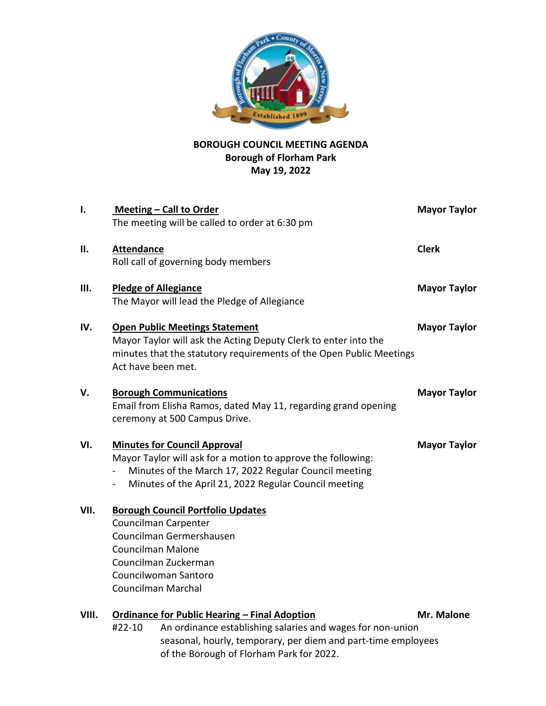

## **BOROUGH COUNCIL MEETING AGENDA Borough of Florham Park May 19, 2022**

| I.    | Meeting - Call to Order                                                                                                                                                                                                                           | <b>Mayor Taylor</b> |
|-------|---------------------------------------------------------------------------------------------------------------------------------------------------------------------------------------------------------------------------------------------------|---------------------|
|       | The meeting will be called to order at 6:30 pm                                                                                                                                                                                                    |                     |
| ΙΙ.   | <b>Attendance</b>                                                                                                                                                                                                                                 | <b>Clerk</b>        |
|       | Roll call of governing body members                                                                                                                                                                                                               |                     |
| Ш.    | <b>Pledge of Allegiance</b>                                                                                                                                                                                                                       | <b>Mayor Taylor</b> |
|       | The Mayor will lead the Pledge of Allegiance                                                                                                                                                                                                      |                     |
| IV.   | <b>Open Public Meetings Statement</b><br>Mayor Taylor will ask the Acting Deputy Clerk to enter into the<br>minutes that the statutory requirements of the Open Public Meetings<br>Act have been met.                                             | <b>Mayor Taylor</b> |
| V.    | <b>Borough Communications</b><br>Email from Elisha Ramos, dated May 11, regarding grand opening<br>ceremony at 500 Campus Drive.                                                                                                                  | <b>Mayor Taylor</b> |
| VI.   | <b>Minutes for Council Approval</b><br>Mayor Taylor will ask for a motion to approve the following:<br>Minutes of the March 17, 2022 Regular Council meeting<br>$\overline{\phantom{0}}$<br>Minutes of the April 21, 2022 Regular Council meeting | <b>Mayor Taylor</b> |
| VII.  | <b>Borough Council Portfolio Updates</b><br>Councilman Carpenter<br>Councilman Germershausen<br><b>Councilman Malone</b><br>Councilman Zuckerman<br>Councilwoman Santoro<br>Councilman Marchal                                                    |                     |
| VIII. | <b>Ordinance for Public Hearing - Final Adoption</b><br>An ordinance establishing salaries and wages for non-union<br>#22-10                                                                                                                      | Mr. Malone          |

seasonal, hourly, temporary, per diem and part-time employees

of the Borough of Florham Park for 2022.